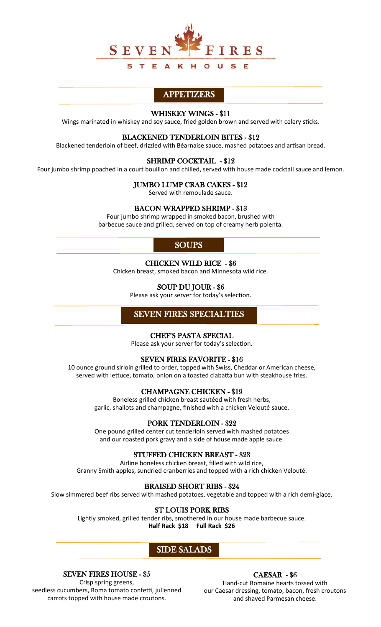

## APPETIZERS

### WHISKEY WINGS - \$11

Wings marinated in whiskey and soy sauce, fried golden brown and served with celery sticks.

### BLACKENED TENDERLOIN BITES - \$12

Blackened tenderloin of beef, drizzled with Béarnaise sauce, mashed potatoes and artisan bread.

### SHRIMP COCKTAIL - \$12

Four jumbo shrimp poached in a court bouillon and chilled, served with house made cocktail sauce and lemon.

### JUMBO LUMP CRAB CAKES - \$12

Served with remoulade sauce.

### BACON WRAPPED SHRIMP - \$13

Four jumbo shrimp wrapped in smoked bacon, brushed with barbecue sauce and grilled, served on top of creamy herb polenta.

## **SOUPS**

### CHICKEN WILD RICE - \$6

Chicken breast, smoked bacon and Minnesota wild rice.

### SOUP DU JOUR - \$6

Please ask your server for today's selection.

## SEVEN FIRES SPECIALTIES

### CHEF'S PASTA SPECIAL

Please ask your server for today's selection.

### SEVEN FIRES FAVORITE - \$16

10 ounce ground sirloin grilled to order, topped with Swiss, Cheddar or American cheese, served with lettuce, tomato, onion on a toasted ciabatta bun with steakhouse fries.

### CHAMPAGNE CHICKEN - \$19

Boneless grilled chicken breast sautéed with fresh herbs, garlic, shallots and champagne, finished with a chicken Velouté sauce.

## PORK TENDERLOIN - \$22

One pound grilled center cut tenderloin served with mashed potatoes and our roasted pork gravy and a side of house made apple sauce.

## STUFFED CHICKEN BREAST - \$23

Airline boneless chicken breast, filled with wild rice, Granny Smith apples, sundried cranberries and topped with a rich chicken Velouté.

### BRAISED SHORT RIBS - \$24

Slow simmered beef ribs served with mashed potatoes, vegetable and topped with a rich demi-glace.

### ST LOUIS PORK RIBS

Lightly smoked, grilled tender ribs, smothered in our house made barbecue sauce. **Half Rack \$18 Full Rack \$26**

## SIDE SALADS

### SEVEN FIRES HOUSE - \$5

Crisp spring greens, seedless cucumbers, Roma tomato confetti, julienned carrots topped with house made croutons.

## CAESAR - \$6

Hand-cut Romaine hearts tossed with our Caesar dressing, tomato, bacon, fresh croutons and shaved Parmesan cheese.